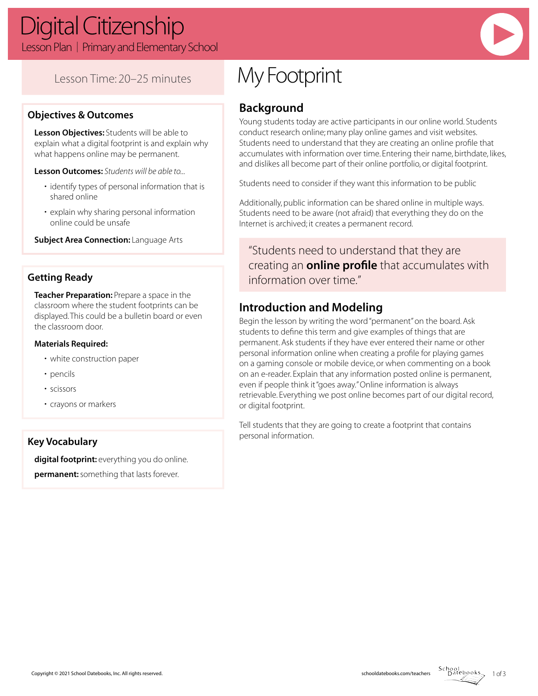## Lesson Time: 20–25 minutes

### **Objectives & Outcomes**

**Lesson Objectives:** Students will be able to explain what a digital footprint is and explain why what happens online may be permanent.

**Lesson Outcomes:** *Students will be able to...*

- identify types of personal information that is shared online
- explain why sharing personal information online could be unsafe

**Subject Area Connection: Language Arts** 

### **Getting Ready**

**Teacher Preparation:** Prepare a space in the classroom where the student footprints can be displayed. This could be a bulletin board or even the classroom door.

#### **Materials Required:**

- white construction paper
- pencils
- scissors
- crayons or markers

#### **Key Vocabulary**

digital footprint: everything you do online. **permanent:** something that lasts forever.

# My Footprint

## **Background**

Young students today are active participants in our online world. Students conduct research online; many play online games and visit websites. Students need to understand that they are creating an online profile that accumulates with information over time. Entering their name, birthdate, likes, and dislikes all become part of their online portfolio, or digital footprint.

Students need to consider if they want this information to be public

Additionally, public information can be shared online in multiple ways. Students need to be aware (not afraid) that everything they do on the Internet is archived; it creates a permanent record.

"Students need to understand that they are creating an **online profile** that accumulates with information over time."

### **Introduction and Modeling**

Begin the lesson by writing the word "permanent" on the board. Ask students to define this term and give examples of things that are permanent. Ask students if they have ever entered their name or other personal information online when creating a profile for playing games on a gaming console or mobile device, or when commenting on a book on an e-reader. Explain that any information posted online is permanent, even if people think it "goes away." Online information is always retrievable. Everything we post online becomes part of our digital record, or digital footprint.

Tell students that they are going to create a footprint that contains personal information.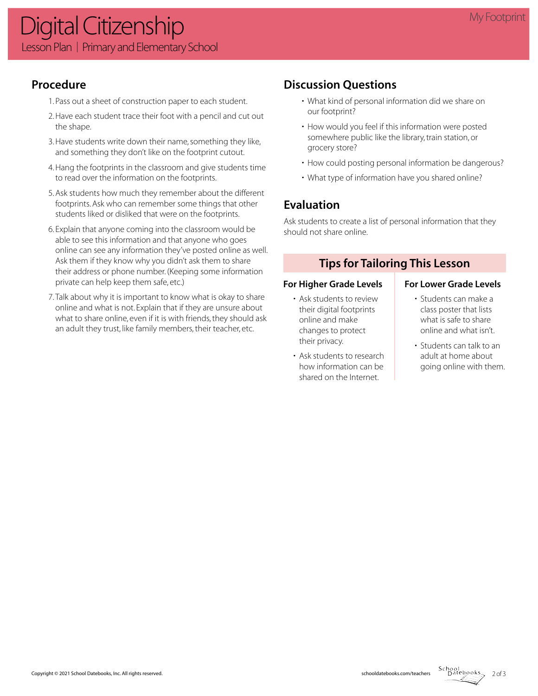### **Procedure**

- 1. Pass out a sheet of construction paper to each student.
- 2. Have each student trace their foot with a pencil and cut out the shape.
- 3. Have students write down their name, something they like, and something they don't like on the footprint cutout.
- 4. Hang the footprints in the classroom and give students time to read over the information on the footprints.
- 5. Ask students how much they remember about the different footprints. Ask who can remember some things that other students liked or disliked that were on the footprints.
- 6. Explain that anyone coming into the classroom would be able to see this information and that anyone who goes online can see any information they've posted online as well. Ask them if they know why you didn't ask them to share their address or phone number. (Keeping some information private can help keep them safe, etc.)
- 7. Talk about why it is important to know what is okay to share online and what is not. Explain that if they are unsure about what to share online, even if it is with friends, they should ask an adult they trust, like family members, their teacher, etc.

## **Discussion Questions**

- What kind of personal information did we share on our footprint?
- How would you feel if this information were posted somewhere public like the library, train station, or grocery store?
- How could posting personal information be dangerous?
- What type of information have you shared online?

## **Evaluation**

Ask students to create a list of personal information that they should not share online.

### **Tips for Tailoring This Lesson**

#### For Higher Grade Levels **For Lower Grade Levels**

- Ask students to review their digital footprints online and make changes to protect their privacy.
- Ask students to research how information can be shared on the Internet.

- Students can make a class poster that lists what is safe to share online and what isn't.
- Students can talk to an adult at home about going online with them.